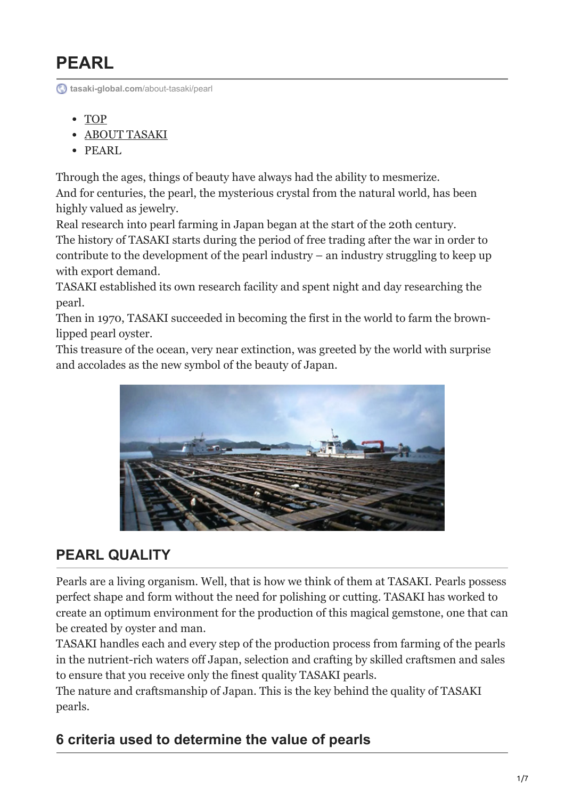# **PEARL**

**[tasaki-global.com](https://www.tasaki-global.com/about-tasaki/pearl/)**/about-tasaki/pearl

- [TOP](https://www.tasaki-global.com/)
- [ABOUT TASAKI](https://www.tasaki-global.com/about-tasaki/)
- PEARL

Through the ages, things of beauty have always had the ability to mesmerize. And for centuries, the pearl, the mysterious crystal from the natural world, has been highly valued as jewelry.

Real research into pearl farming in Japan began at the start of the 20th century. The history of TASAKI starts during the period of free trading after the war in order to contribute to the development of the pearl industry – an industry struggling to keep up with export demand.

TASAKI established its own research facility and spent night and day researching the pearl.

Then in 1970, TASAKI succeeded in becoming the first in the world to farm the brownlipped pearl oyster.

This treasure of the ocean, very near extinction, was greeted by the world with surprise and accolades as the new symbol of the beauty of Japan.



# **PEARL QUALITY**

Pearls are a living organism. Well, that is how we think of them at TASAKI. Pearls possess perfect shape and form without the need for polishing or cutting. TASAKI has worked to create an optimum environment for the production of this magical gemstone, one that can be created by oyster and man.

TASAKI handles each and every step of the production process from farming of the pearls in the nutrient-rich waters off Japan, selection and crafting by skilled craftsmen and sales to ensure that you receive only the finest quality TASAKI pearls.

The nature and craftsmanship of Japan. This is the key behind the quality of TASAKI pearls.

# **6 criteria used to determine the value of pearls**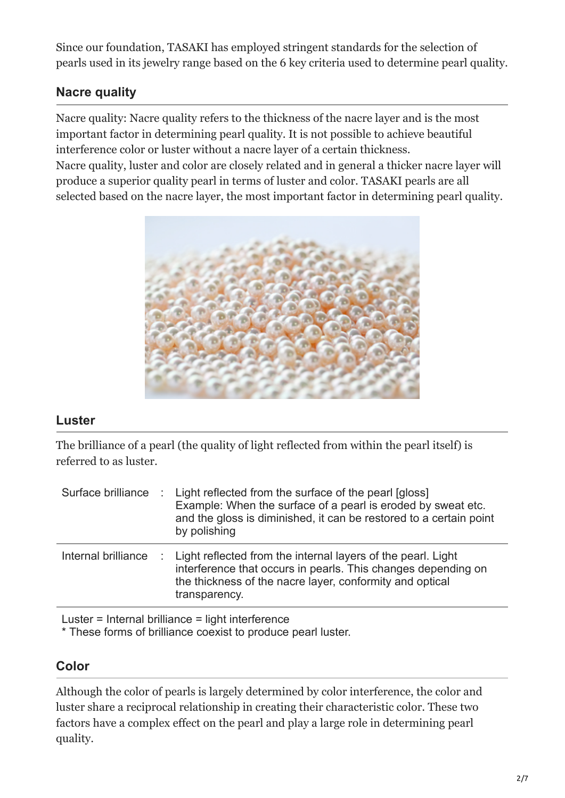Since our foundation, TASAKI has employed stringent standards for the selection of pearls used in its jewelry range based on the 6 key criteria used to determine pearl quality.

# **Nacre quality**

Nacre quality: Nacre quality refers to the thickness of the nacre layer and is the most important factor in determining pearl quality. It is not possible to achieve beautiful interference color or luster without a nacre layer of a certain thickness.

Nacre quality, luster and color are closely related and in general a thicker nacre layer will produce a superior quality pearl in terms of luster and color. TASAKI pearls are all selected based on the nacre layer, the most important factor in determining pearl quality.



### **Luster**

The brilliance of a pearl (the quality of light reflected from within the pearl itself) is referred to as luster.

| Surface brilliance  | $\therefore$ Light reflected from the surface of the pearl [gloss]<br>Example: When the surface of a pearl is eroded by sweat etc.<br>and the gloss is diminished, it can be restored to a certain point<br>by polishing |
|---------------------|--------------------------------------------------------------------------------------------------------------------------------------------------------------------------------------------------------------------------|
| Internal brilliance | : Light reflected from the internal layers of the pearl. Light<br>interference that occurs in pearls. This changes depending on<br>the thickness of the nacre layer, conformity and optical<br>transparency.             |

Luster = Internal brilliance = light interference

\* These forms of brilliance coexist to produce pearl luster.

### **Color**

Although the color of pearls is largely determined by color interference, the color and luster share a reciprocal relationship in creating their characteristic color. These two factors have a complex effect on the pearl and play a large role in determining pearl quality.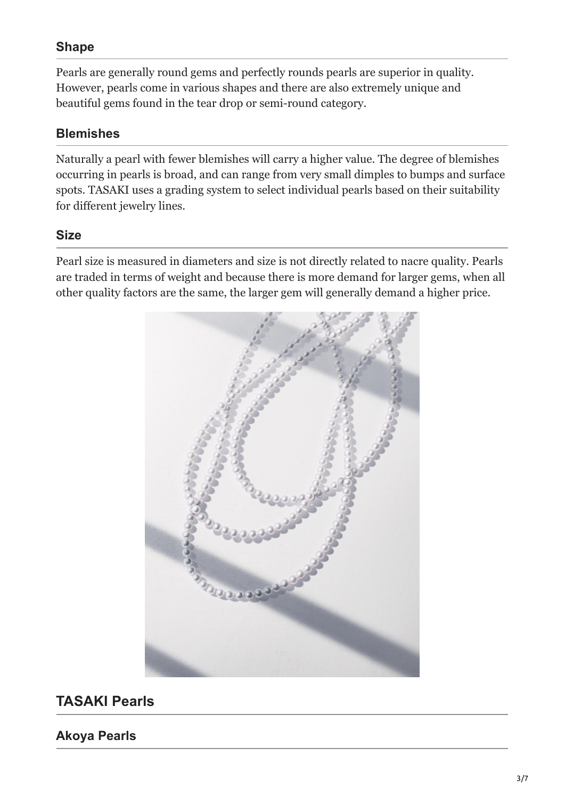### **Shape**

Pearls are generally round gems and perfectly rounds pearls are superior in quality. However, pearls come in various shapes and there are also extremely unique and beautiful gems found in the tear drop or semi-round category.

### **Blemishes**

Naturally a pearl with fewer blemishes will carry a higher value. The degree of blemishes occurring in pearls is broad, and can range from very small dimples to bumps and surface spots. TASAKI uses a grading system to select individual pearls based on their suitability for different jewelry lines.

### **Size**

Pearl size is measured in diameters and size is not directly related to nacre quality. Pearls are traded in terms of weight and because there is more demand for larger gems, when all other quality factors are the same, the larger gem will generally demand a higher price.



# **TASAKI Pearls**

**Akoya Pearls**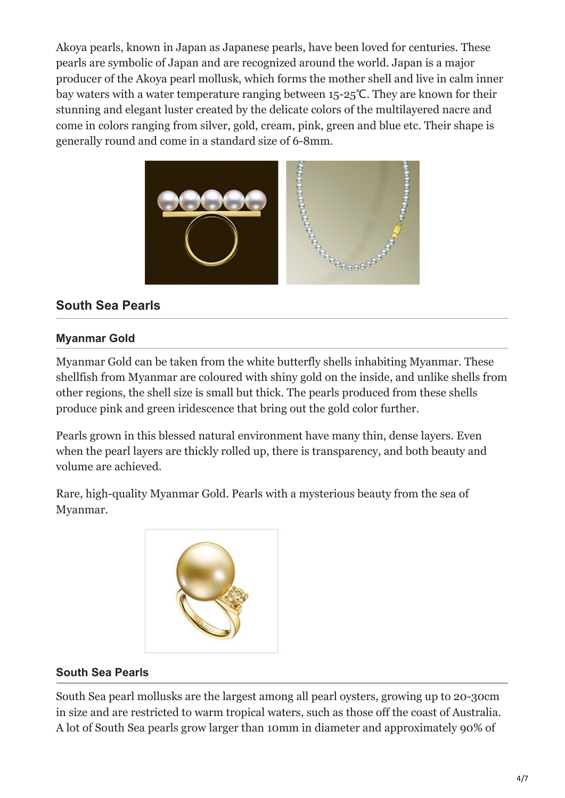Akoya pearls, known in Japan as Japanese pearls, have been loved for centuries. These pearls are symbolic of Japan and are recognized around the world. Japan is a major producer of the Akoya pearl mollusk, which forms the mother shell and live in calm inner bay waters with a water temperature ranging between 15-25℃. They are known for their stunning and elegant luster created by the delicate colors of the multilayered nacre and come in colors ranging from silver, gold, cream, pink, green and blue etc. Their shape is generally round and come in a standard size of 6-8mm.



# **South Sea Pearls**

#### **Myanmar Gold**

Myanmar Gold can be taken from the white butterfly shells inhabiting Myanmar. These shellfish from Myanmar are coloured with shiny gold on the inside, and unlike shells from other regions, the shell size is small but thick. The pearls produced from these shells produce pink and green iridescence that bring out the gold color further.

Pearls grown in this blessed natural environment have many thin, dense layers. Even when the pearl layers are thickly rolled up, there is transparency, and both beauty and volume are achieved.

Rare, high-quality Myanmar Gold. Pearls with a mysterious beauty from the sea of Myanmar.



#### **South Sea Pearls**

South Sea pearl mollusks are the largest among all pearl oysters, growing up to 20-30cm in size and are restricted to warm tropical waters, such as those off the coast of Australia. A lot of South Sea pearls grow larger than 10mm in diameter and approximately 90% of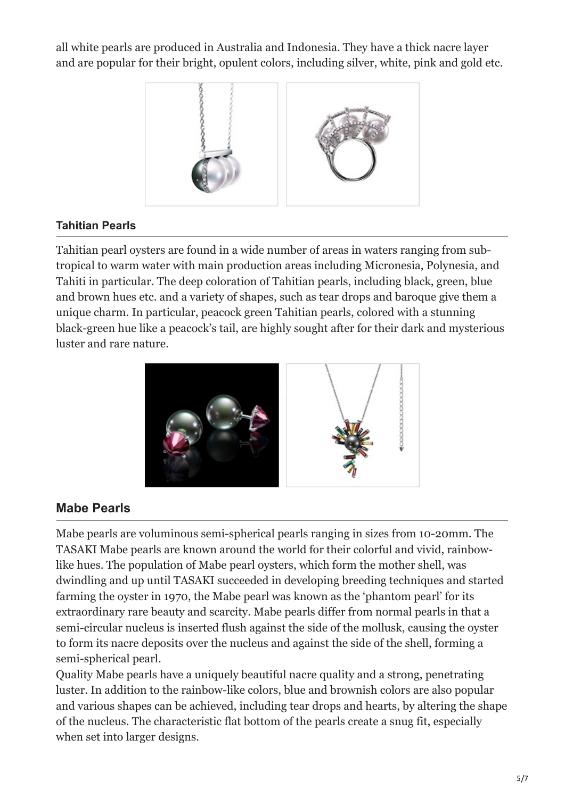all white pearls are produced in Australia and Indonesia. They have a thick nacre layer and are popular for their bright, opulent colors, including silver, white, pink and gold etc.



#### **Tahitian Pearls**

Tahitian pearl oysters are found in a wide number of areas in waters ranging from subtropical to warm water with main production areas including Micronesia, Polynesia, and Tahiti in particular. The deep coloration of Tahitian pearls, including black, green, blue and brown hues etc. and a variety of shapes, such as tear drops and baroque give them a unique charm. In particular, peacock green Tahitian pearls, colored with a stunning black-green hue like a peacock's tail, are highly sought after for their dark and mysterious luster and rare nature.



#### **Mabe Pearls**

Mabe pearls are voluminous semi-spherical pearls ranging in sizes from 10-20mm. The TASAKI Mabe pearls are known around the world for their colorful and vivid, rainbowlike hues. The population of Mabe pearl oysters, which form the mother shell, was dwindling and up until TASAKI succeeded in developing breeding techniques and started farming the oyster in 1970, the Mabe pearl was known as the 'phantom pearl' for its extraordinary rare beauty and scarcity. Mabe pearls differ from normal pearls in that a semi-circular nucleus is inserted flush against the side of the mollusk, causing the oyster to form its nacre deposits over the nucleus and against the side of the shell, forming a semi-spherical pearl.

Quality Mabe pearls have a uniquely beautiful nacre quality and a strong, penetrating luster. In addition to the rainbow-like colors, blue and brownish colors are also popular and various shapes can be achieved, including tear drops and hearts, by altering the shape of the nucleus. The characteristic flat bottom of the pearls create a snug fit, especially when set into larger designs.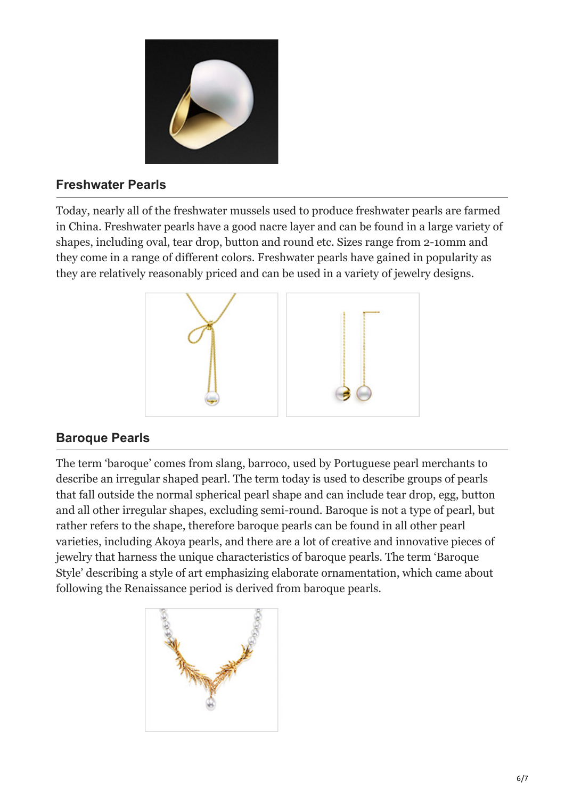

## **Freshwater Pearls**

Today, nearly all of the freshwater mussels used to produce freshwater pearls are farmed in China. Freshwater pearls have a good nacre layer and can be found in a large variety of shapes, including oval, tear drop, button and round etc. Sizes range from 2-10mm and they come in a range of different colors. Freshwater pearls have gained in popularity as they are relatively reasonably priced and can be used in a variety of jewelry designs.



# **Baroque Pearls**

The term 'baroque' comes from slang, barroco, used by Portuguese pearl merchants to describe an irregular shaped pearl. The term today is used to describe groups of pearls that fall outside the normal spherical pearl shape and can include tear drop, egg, button and all other irregular shapes, excluding semi-round. Baroque is not a type of pearl, but rather refers to the shape, therefore baroque pearls can be found in all other pearl varieties, including Akoya pearls, and there are a lot of creative and innovative pieces of jewelry that harness the unique characteristics of baroque pearls. The term 'Baroque Style' describing a style of art emphasizing elaborate ornamentation, which came about following the Renaissance period is derived from baroque pearls.